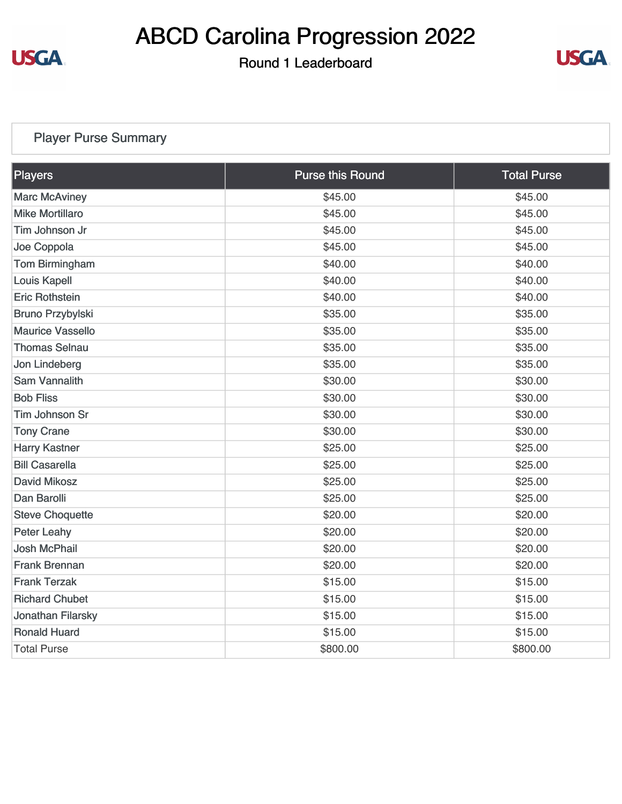

## ABCD Carolina Progression 2022

Round 1 Leaderboard



## Player Purse Summary

| Players                 | <b>Purse this Round</b> | <b>Total Purse</b> |
|-------------------------|-------------------------|--------------------|
| <b>Marc McAviney</b>    | \$45.00                 | \$45.00            |
| <b>Mike Mortillaro</b>  | \$45.00                 | \$45.00            |
| Tim Johnson Jr          | \$45.00                 | \$45.00            |
| Joe Coppola             | \$45.00                 | \$45.00            |
| Tom Birmingham          | \$40.00                 | \$40.00            |
| <b>Louis Kapell</b>     | \$40.00                 | \$40.00            |
| <b>Eric Rothstein</b>   | \$40.00                 | \$40.00            |
| Bruno Przybylski        | \$35.00                 | \$35.00            |
| <b>Maurice Vassello</b> | \$35.00                 | \$35.00            |
| <b>Thomas Selnau</b>    | \$35.00                 | \$35.00            |
| Jon Lindeberg           | \$35.00                 | \$35.00            |
| <b>Sam Vannalith</b>    | \$30.00                 | \$30.00            |
| <b>Bob Fliss</b>        | \$30.00                 | \$30.00            |
| <b>Tim Johnson Sr</b>   | \$30.00                 | \$30.00            |
| <b>Tony Crane</b>       | \$30.00                 | \$30.00            |
| <b>Harry Kastner</b>    | \$25.00                 | \$25.00            |
| <b>Bill Casarella</b>   | \$25.00                 | \$25.00            |
| <b>David Mikosz</b>     | \$25.00                 | \$25.00            |
| Dan Barolli             | \$25.00                 | \$25.00            |
| <b>Steve Choquette</b>  | \$20.00                 | \$20.00            |
| <b>Peter Leahy</b>      | \$20.00                 | \$20.00            |
| <b>Josh McPhail</b>     | \$20.00                 | \$20.00            |
| <b>Frank Brennan</b>    | \$20.00                 | \$20.00            |
| <b>Frank Terzak</b>     | \$15.00                 | \$15.00            |
| <b>Richard Chubet</b>   | \$15.00                 | \$15.00            |
| Jonathan Filarsky       | \$15.00                 | \$15.00            |
| <b>Ronald Huard</b>     | \$15.00                 | \$15.00            |
| <b>Total Purse</b>      | \$800.00                | \$800.00           |